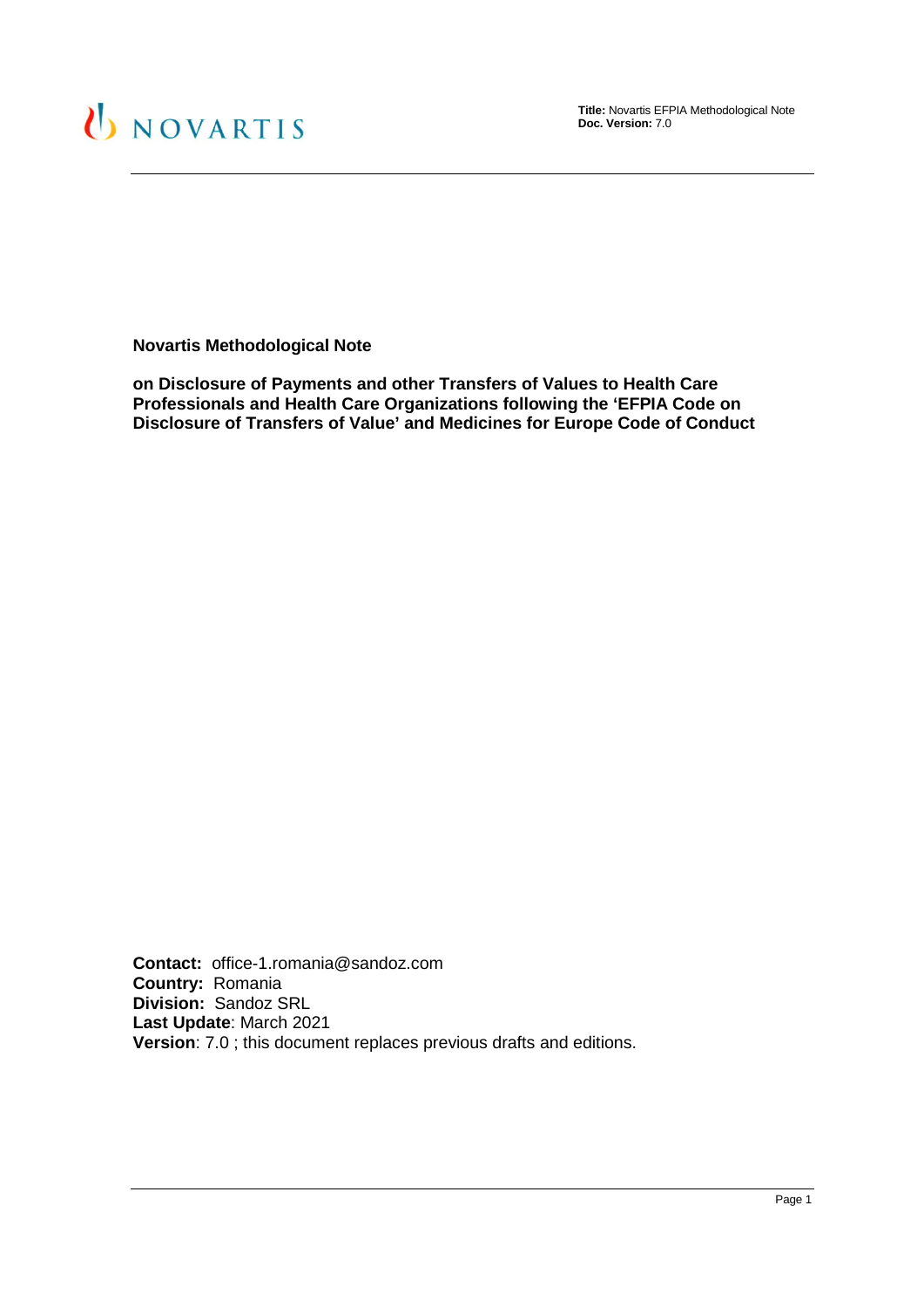

**Title:** Novartis EFPIA Methodological Note **Doc. Version:** 7.0

**Novartis Methodological Note**

**on Disclosure of Payments and other Transfers of Values to Health Care Professionals and Health Care Organizations following the 'EFPIA Code on Disclosure of Transfers of Value' and Medicines for Europe Code of Conduct**

**Contact:** office-1.romania@sandoz.com **Country:** Romania **Division:** Sandoz SRL **Last Update**: March 2021 **Version**: 7.0 ; this document replaces previous drafts and editions.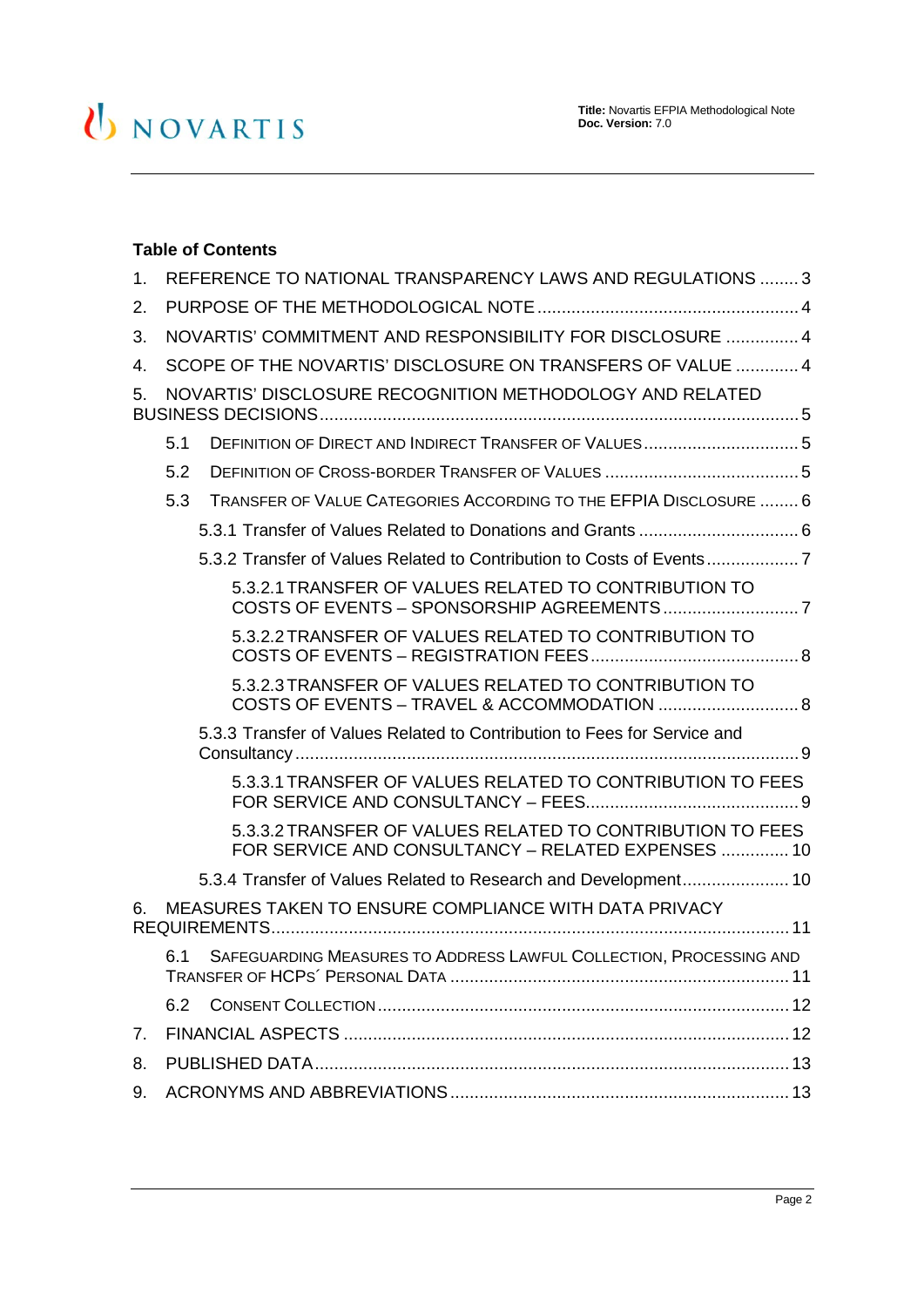# U NOVARTIS

### **Table of Contents**

| 1.                                                             | REFERENCE TO NATIONAL TRANSPARENCY LAWS AND REGULATIONS  3 |                                                                                                                  |  |
|----------------------------------------------------------------|------------------------------------------------------------|------------------------------------------------------------------------------------------------------------------|--|
| 2.                                                             |                                                            |                                                                                                                  |  |
| 3.                                                             | NOVARTIS' COMMITMENT AND RESPONSIBILITY FOR DISCLOSURE  4  |                                                                                                                  |  |
| 4.                                                             | SCOPE OF THE NOVARTIS' DISCLOSURE ON TRANSFERS OF VALUE  4 |                                                                                                                  |  |
| NOVARTIS' DISCLOSURE RECOGNITION METHODOLOGY AND RELATED<br>5. |                                                            |                                                                                                                  |  |
|                                                                | 5.1                                                        |                                                                                                                  |  |
|                                                                | 5.2                                                        |                                                                                                                  |  |
|                                                                | 5.3                                                        | TRANSFER OF VALUE CATEGORIES ACCORDING TO THE EFPIA DISCLOSURE  6                                                |  |
|                                                                |                                                            |                                                                                                                  |  |
|                                                                |                                                            | 5.3.2 Transfer of Values Related to Contribution to Costs of Events7                                             |  |
|                                                                |                                                            | 5.3.2.1 TRANSFER OF VALUES RELATED TO CONTRIBUTION TO                                                            |  |
|                                                                |                                                            | 5.3.2.2 TRANSFER OF VALUES RELATED TO CONTRIBUTION TO                                                            |  |
|                                                                |                                                            | 5.3.2.3 TRANSFER OF VALUES RELATED TO CONTRIBUTION TO                                                            |  |
|                                                                |                                                            | 5.3.3 Transfer of Values Related to Contribution to Fees for Service and                                         |  |
|                                                                |                                                            | 5.3.3.1 TRANSFER OF VALUES RELATED TO CONTRIBUTION TO FEES                                                       |  |
|                                                                |                                                            | 5.3.3.2 TRANSFER OF VALUES RELATED TO CONTRIBUTION TO FEES<br>FOR SERVICE AND CONSULTANCY - RELATED EXPENSES  10 |  |
|                                                                |                                                            | 5.3.4 Transfer of Values Related to Research and Development 10                                                  |  |
| 6.                                                             | MEASURES TAKEN TO ENSURE COMPLIANCE WITH DATA PRIVACY      |                                                                                                                  |  |
|                                                                | 6.1                                                        | SAFEGUARDING MEASURES TO ADDRESS LAWFUL COLLECTION, PROCESSING AND                                               |  |
|                                                                | 6.2                                                        |                                                                                                                  |  |
| 7.                                                             |                                                            |                                                                                                                  |  |
| 8.                                                             |                                                            |                                                                                                                  |  |
| 9.                                                             |                                                            |                                                                                                                  |  |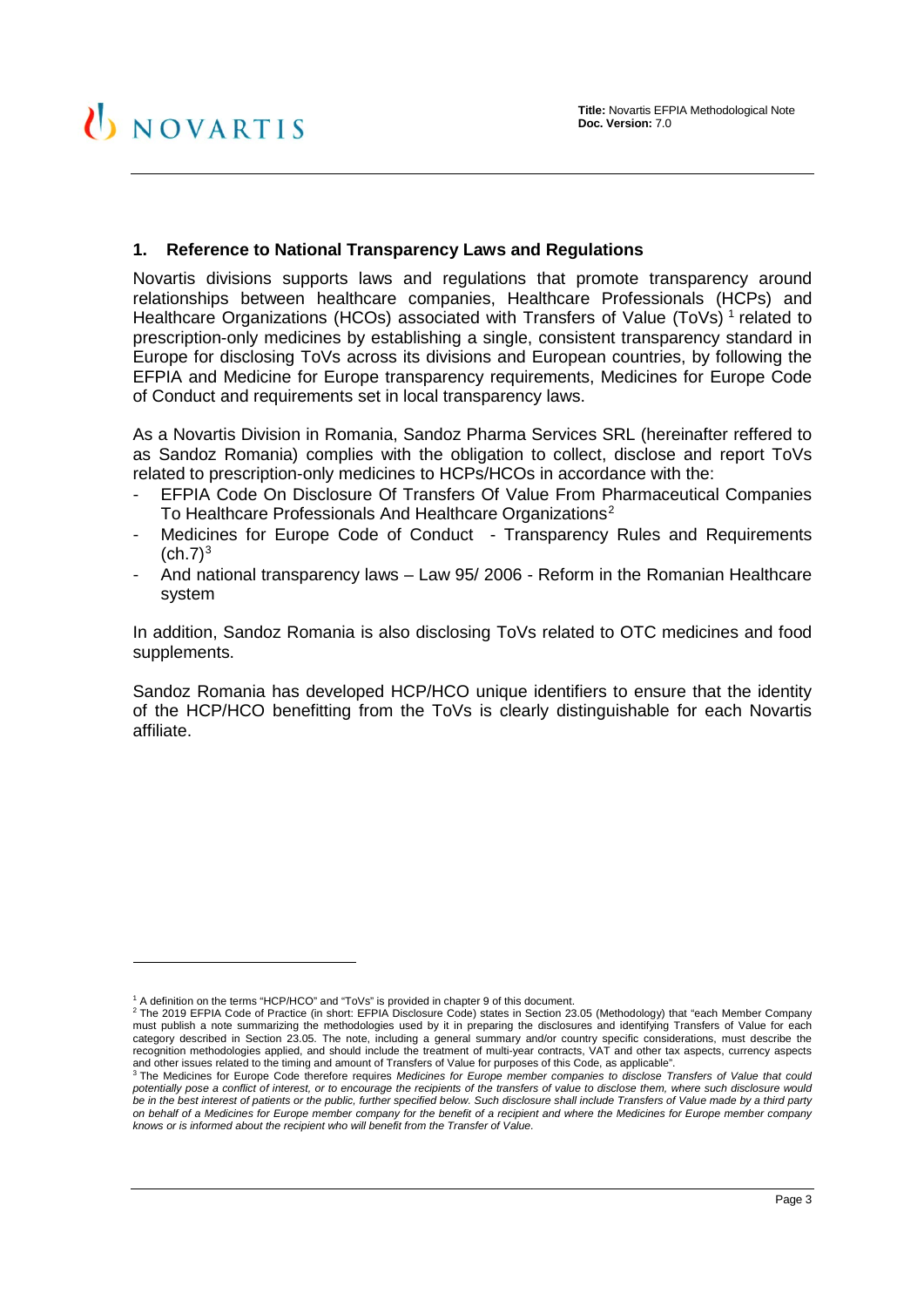#### <span id="page-2-0"></span>**1. Reference to National Transparency Laws and Regulations**

Novartis divisions supports laws and regulations that promote transparency around relationships between healthcare companies, Healthcare Professionals (HCPs) and Healthcare Organizations (HCOs) associated with Transfers of Value (ToVs)<sup>[1](#page-2-1)</sup> related to prescription-only medicines by establishing a single, consistent transparency standard in Europe for disclosing ToVs across its divisions and European countries, by following the EFPIA and Medicine for Europe transparency requirements, Medicines for Europe Code of Conduct and requirements set in local transparency laws.

As a Novartis Division in Romania, Sandoz Pharma Services SRL (hereinafter reffered to as Sandoz Romania) complies with the obligation to collect, disclose and report ToVs related to prescription-only medicines to HCPs/HCOs in accordance with the:

- EFPIA Code On Disclosure Of Transfers Of Value From Pharmaceutical Companies To Healthcare Professionals And Healthcare Organizations<sup>[2](#page-2-2)</sup>
- Medicines for Europe Code of Conduct Transparency Rules and Requirements  $(ch.7)<sup>3</sup>$  $(ch.7)<sup>3</sup>$  $(ch.7)<sup>3</sup>$
- And national transparency laws Law 95/ 2006 Reform in the Romanian Healthcare system

In addition, Sandoz Romania is also disclosing ToVs related to OTC medicines and food supplements.

Sandoz Romania has developed HCP/HCO unique identifiers to ensure that the identity of the HCP/HCO benefitting from the ToVs is clearly distinguishable for each Novartis affiliate.

-

<sup>1</sup> A definition on the terms "HCP/HCO" and "ToVs" is provided in chapter 9 of this document.

<span id="page-2-2"></span><span id="page-2-1"></span><sup>2</sup> The 2019 EFPIA Code of Practice (in short: EFPIA Disclosure Code) states in Section 23.05 (Methodology) that "each Member Company must publish a note summarizing the methodologies used by it in preparing the disclosures and identifying Transfers of Value for each category described in Section 23.05. The note, including a general summary and/or country specific considerations, must describe the recognition methodologies applied, and should include the treatment of multi-year contracts, VAT and other tax aspects, currency aspects and other issues related to the timing and amount of Transfers of Value for purposes of this Code, as applicable".<br><sup>3</sup> The Medicines for Europe Code therefore requires Medicines for Europe member companies to disclose Tran

<span id="page-2-3"></span>*potentially pose a conflict of interest, or to encourage the recipients of the transfers of value to disclose them, where such disclosure would be in the best interest of patients or the public, further specified below. Such disclosure shall include Transfers of Value made by a third party on behalf of a Medicines for Europe member company for the benefit of a recipient and where the Medicines for Europe member company knows or is informed about the recipient who will benefit from the Transfer of Value.*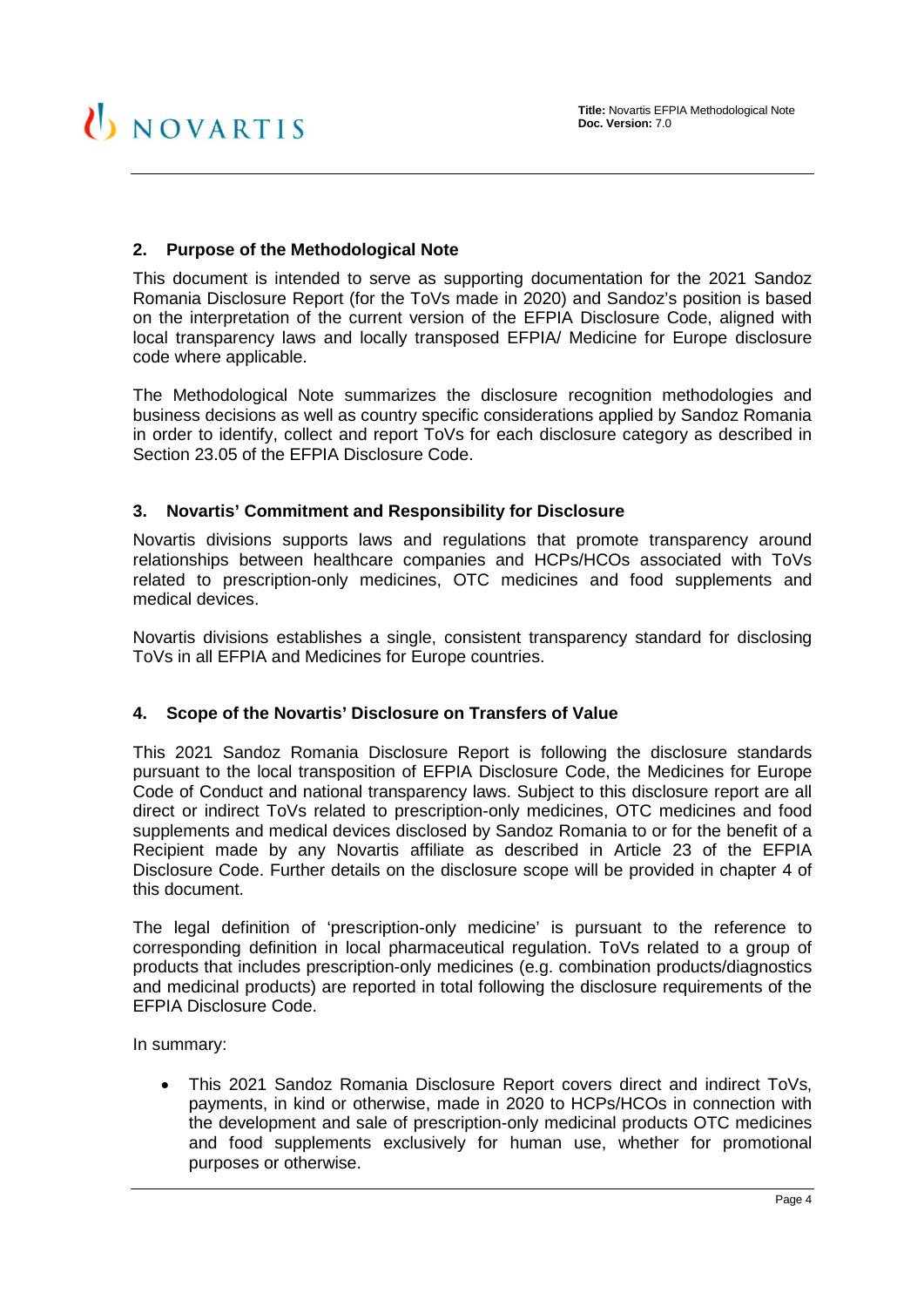#### <span id="page-3-0"></span>**2. Purpose of the Methodological Note**

This document is intended to serve as supporting documentation for the 2021 Sandoz Romania Disclosure Report (for the ToVs made in 2020) and Sandoz's position is based on the interpretation of the current version of the EFPIA Disclosure Code, aligned with local transparency laws and locally transposed EFPIA/ Medicine for Europe disclosure code where applicable.

The Methodological Note summarizes the disclosure recognition methodologies and business decisions as well as country specific considerations applied by Sandoz Romania in order to identify, collect and report ToVs for each disclosure category as described in Section 23.05 of the EFPIA Disclosure Code.

#### <span id="page-3-1"></span>**3. Novartis' Commitment and Responsibility for Disclosure**

Novartis divisions supports laws and regulations that promote transparency around relationships between healthcare companies and HCPs/HCOs associated with ToVs related to prescription-only medicines, OTC medicines and food supplements and medical devices.

Novartis divisions establishes a single, consistent transparency standard for disclosing ToVs in all EFPIA and Medicines for Europe countries.

#### <span id="page-3-2"></span>**4. Scope of the Novartis' Disclosure on Transfers of Value**

This 2021 Sandoz Romania Disclosure Report is following the disclosure standards pursuant to the local transposition of EFPIA Disclosure Code, the Medicines for Europe Code of Conduct and national transparency laws. Subject to this disclosure report are all direct or indirect ToVs related to prescription-only medicines, OTC medicines and food supplements and medical devices disclosed by Sandoz Romania to or for the benefit of a Recipient made by any Novartis affiliate as described in Article 23 of the EFPIA Disclosure Code. Further details on the disclosure scope will be provided in chapter [4](#page-3-2) of this document.

The legal definition of 'prescription-only medicine' is pursuant to the reference to corresponding definition in local pharmaceutical regulation. ToVs related to a group of products that includes prescription-only medicines (e.g. combination products/diagnostics and medicinal products) are reported in total following the disclosure requirements of the EFPIA Disclosure Code.

In summary:

• This 2021 Sandoz Romania Disclosure Report covers direct and indirect ToVs, payments, in kind or otherwise, made in 2020 to HCPs/HCOs in connection with the development and sale of prescription-only medicinal products OTC medicines and food supplements exclusively for human use, whether for promotional purposes or otherwise.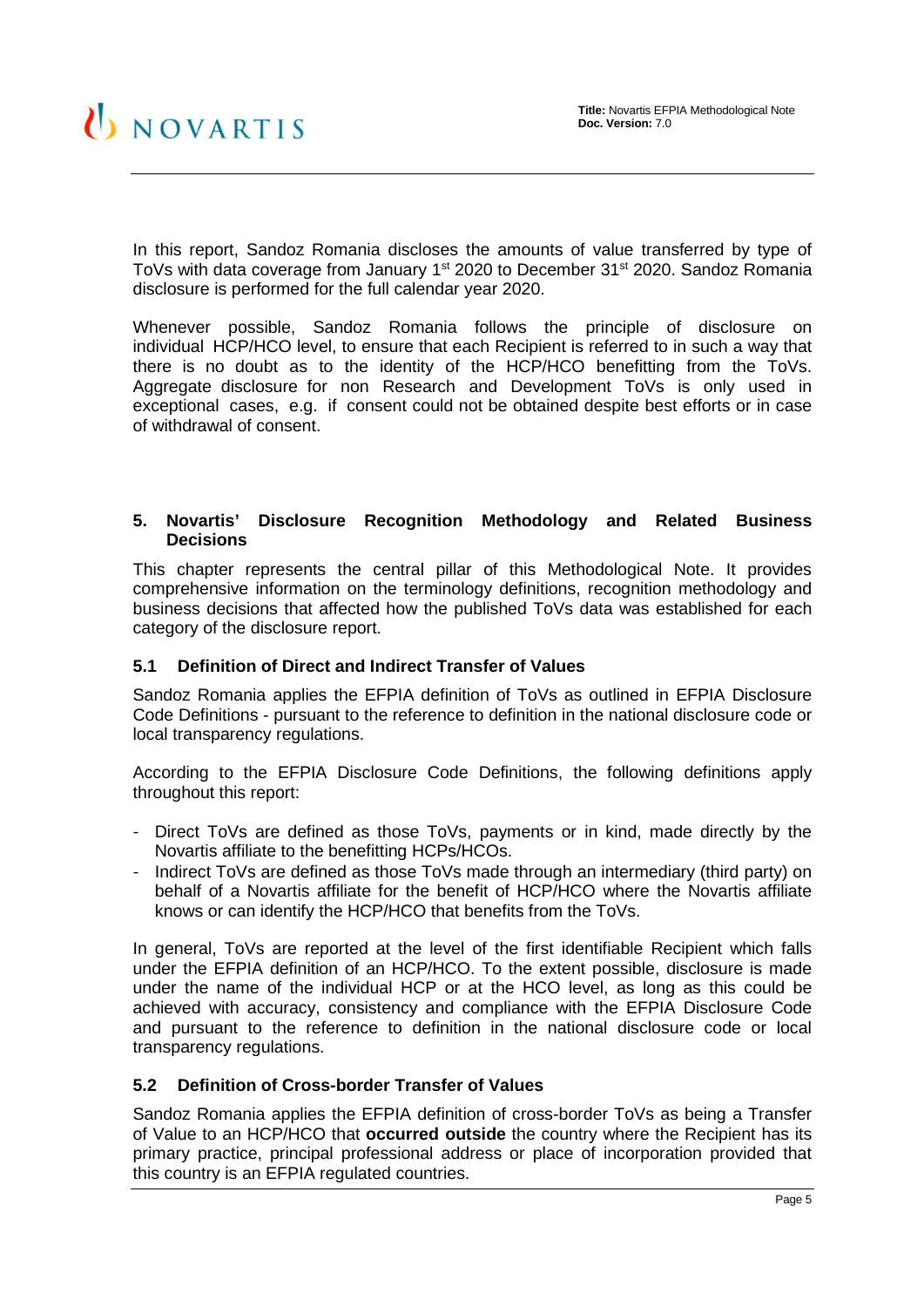In this report, Sandoz Romania discloses the amounts of value transferred by type of ToVs with data coverage from January 1<sup>st</sup> 2020 to December 31<sup>st</sup> 2020. Sandoz Romania disclosure is performed for the full calendar year 2020.

Whenever possible, Sandoz Romania follows the principle of disclosure on individual HCP/HCO level, to ensure that each Recipient is referred to in such a way that there is no doubt as to the identity of the HCP/HCO benefitting from the ToVs. Aggregate disclosure for non Research and Development ToVs is only used in exceptional cases, e.g. if consent could not be obtained despite best efforts or in case of withdrawal of consent.

#### <span id="page-4-0"></span>**5. Novartis' Disclosure Recognition Methodology and Related Business Decisions**

This chapter represents the central pillar of this Methodological Note. It provides comprehensive information on the terminology definitions, recognition methodology and business decisions that affected how the published ToVs data was established for each category of the disclosure report.

#### <span id="page-4-1"></span>**5.1 Definition of Direct and Indirect Transfer of Values**

Sandoz Romania applies the EFPIA definition of ToVs as outlined in EFPIA Disclosure Code Definitions - pursuant to the reference to definition in the national disclosure code or local transparency regulations.

According to the EFPIA Disclosure Code Definitions, the following definitions apply throughout this report:

- Direct ToVs are defined as those ToVs, payments or in kind, made directly by the Novartis affiliate to the benefitting HCPs/HCOs.
- Indirect ToVs are defined as those ToVs made through an intermediary (third party) on behalf of a Novartis affiliate for the benefit of HCP/HCO where the Novartis affiliate knows or can identify the HCP/HCO that benefits from the ToVs.

In general, ToVs are reported at the level of the first identifiable Recipient which falls under the EFPIA definition of an HCP/HCO. To the extent possible, disclosure is made under the name of the individual HCP or at the HCO level, as long as this could be achieved with accuracy, consistency and compliance with the EFPIA Disclosure Code and pursuant to the reference to definition in the national disclosure code or local transparency regulations.

#### <span id="page-4-2"></span>**5.2 Definition of Cross-border Transfer of Values**

Sandoz Romania applies the EFPIA definition of cross-border ToVs as being a Transfer of Value to an HCP/HCO that **occurred outside** the country where the Recipient has its primary practice, principal professional address or place of incorporation provided that this country is an EFPIA regulated countries.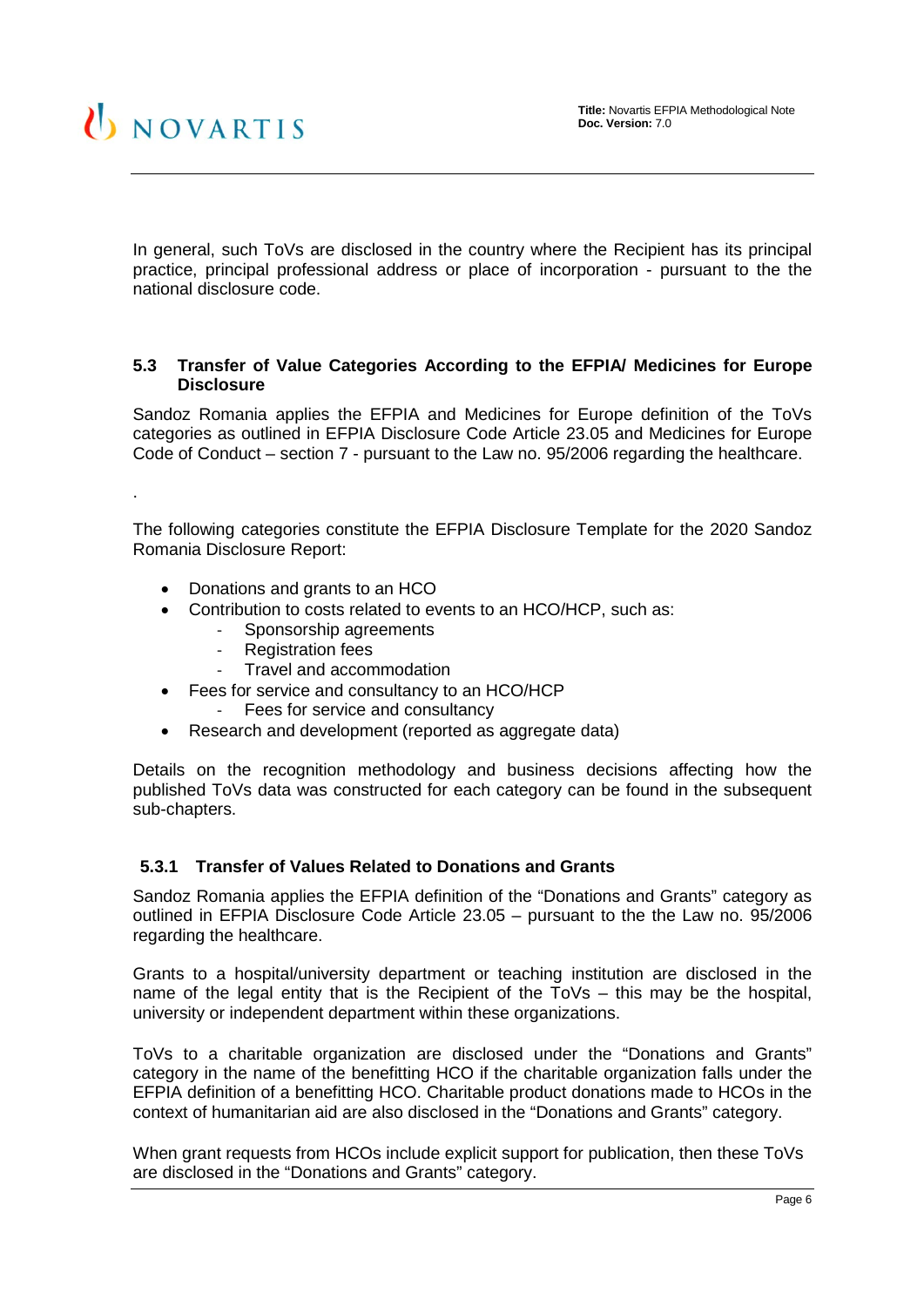## UNOVARTIS

.

In general, such ToVs are disclosed in the country where the Recipient has its principal practice, principal professional address or place of incorporation - pursuant to the the national disclosure code.

#### <span id="page-5-0"></span>**5.3 Transfer of Value Categories According to the EFPIA/ Medicines for Europe Disclosure**

Sandoz Romania applies the EFPIA and Medicines for Europe definition of the ToVs categories as outlined in EFPIA Disclosure Code Article 23.05 and Medicines for Europe Code of Conduct – section 7 - pursuant to the Law no. 95/2006 regarding the healthcare.

The following categories constitute the EFPIA Disclosure Template for the 2020 Sandoz Romania Disclosure Report:

- Donations and grants to an HCO
- Contribution to costs related to events to an HCO/HCP, such as:
	- Sponsorship agreements
	- Registration fees
	- Travel and accommodation
- Fees for service and consultancy to an HCO/HCP
	- Fees for service and consultancy
- Research and development (reported as aggregate data)

Details on the recognition methodology and business decisions affecting how the published ToVs data was constructed for each category can be found in the subsequent sub-chapters.

#### <span id="page-5-1"></span>**5.3.1 Transfer of Values Related to Donations and Grants**

Sandoz Romania applies the EFPIA definition of the "Donations and Grants" category as outlined in EFPIA Disclosure Code Article 23.05 – pursuant to the the Law no. 95/2006 regarding the healthcare.

Grants to a hospital/university department or teaching institution are disclosed in the name of the legal entity that is the Recipient of the ToVs – this may be the hospital, university or independent department within these organizations.

ToVs to a charitable organization are disclosed under the "Donations and Grants" category in the name of the benefitting HCO if the charitable organization falls under the EFPIA definition of a benefitting HCO. Charitable product donations made to HCOs in the context of humanitarian aid are also disclosed in the "Donations and Grants" category.

When grant requests from HCOs include explicit support for publication, then these ToVs are disclosed in the "Donations and Grants" category.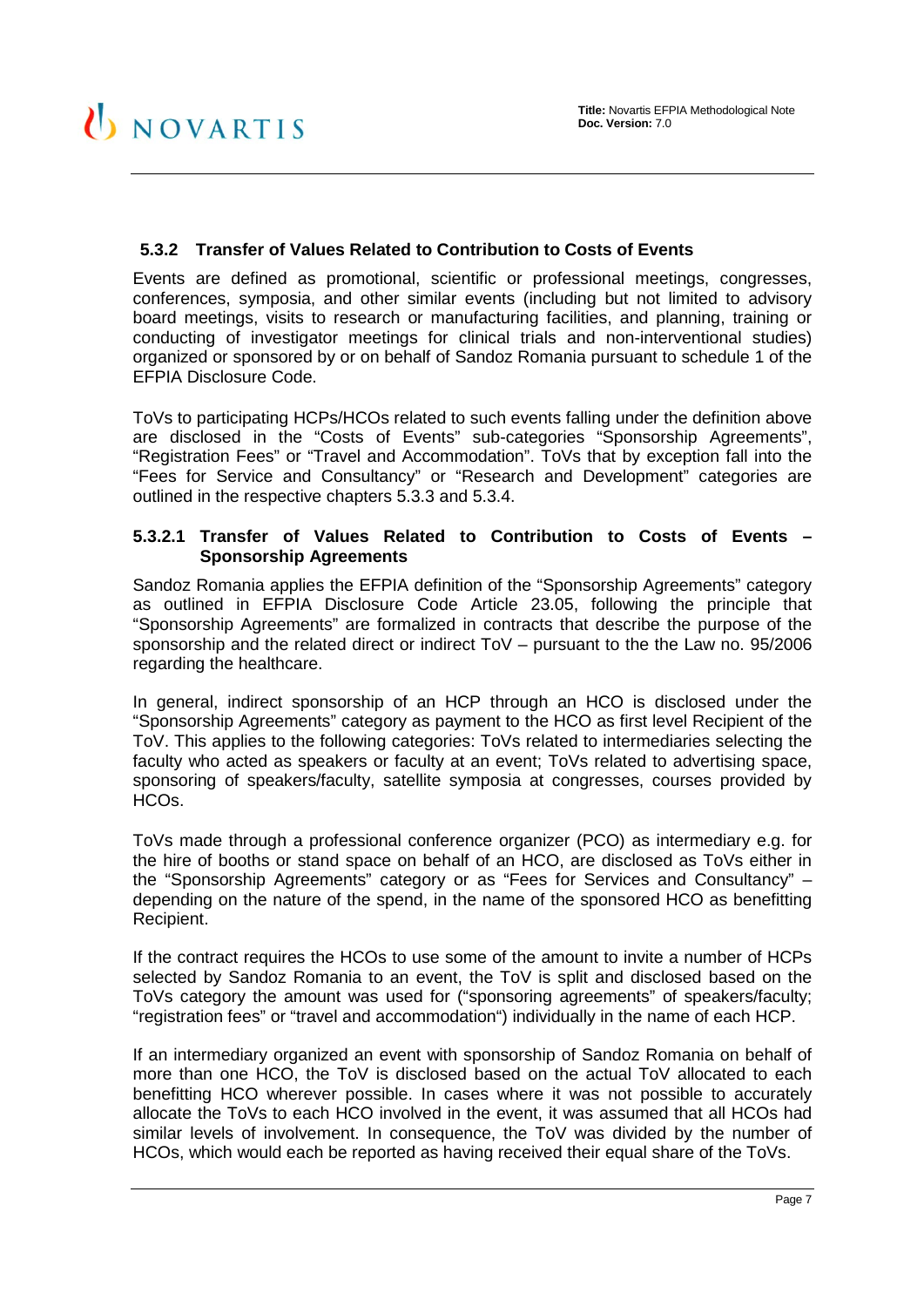#### <span id="page-6-0"></span>**5.3.2 Transfer of Values Related to Contribution to Costs of Events**

Events are defined as promotional, scientific or professional meetings, congresses, conferences, symposia, and other similar events (including but not limited to advisory board meetings, visits to research or manufacturing facilities, and planning, training or conducting of investigator meetings for clinical trials and non-interventional studies) organized or sponsored by or on behalf of Sandoz Romania pursuant to schedule 1 of the EFPIA Disclosure Code.

ToVs to participating HCPs/HCOs related to such events falling under the definition above are disclosed in the "Costs of Events" sub-categories "Sponsorship Agreements", "Registration Fees" or "Travel and Accommodation". ToVs that by exception fall into the "Fees for Service and Consultancy" or "Research and Development" categories are outlined in the respective chapters [5.3.3](#page-8-0) and [5.3.4.](#page-9-1)

#### <span id="page-6-1"></span>**5.3.2.1 Transfer of Values Related to Contribution to Costs of Events – Sponsorship Agreements**

Sandoz Romania applies the EFPIA definition of the "Sponsorship Agreements" category as outlined in EFPIA Disclosure Code Article 23.05, following the principle that "Sponsorship Agreements" are formalized in contracts that describe the purpose of the sponsorship and the related direct or indirect ToV – pursuant to the the Law no. 95/2006 regarding the healthcare.

In general, indirect sponsorship of an HCP through an HCO is disclosed under the "Sponsorship Agreements" category as payment to the HCO as first level Recipient of the ToV. This applies to the following categories: ToVs related to intermediaries selecting the faculty who acted as speakers or faculty at an event; ToVs related to advertising space, sponsoring of speakers/faculty, satellite symposia at congresses, courses provided by HCOs.

ToVs made through a professional conference organizer (PCO) as intermediary e.g. for the hire of booths or stand space on behalf of an HCO, are disclosed as ToVs either in the "Sponsorship Agreements" category or as "Fees for Services and Consultancy" – depending on the nature of the spend, in the name of the sponsored HCO as benefitting Recipient.

If the contract requires the HCOs to use some of the amount to invite a number of HCPs selected by Sandoz Romania to an event, the ToV is split and disclosed based on the ToVs category the amount was used for ("sponsoring agreements" of speakers/faculty; "registration fees" or "travel and accommodation") individually in the name of each HCP.

If an intermediary organized an event with sponsorship of Sandoz Romania on behalf of more than one HCO, the ToV is disclosed based on the actual ToV allocated to each benefitting HCO wherever possible. In cases where it was not possible to accurately allocate the ToVs to each HCO involved in the event, it was assumed that all HCOs had similar levels of involvement. In consequence, the ToV was divided by the number of HCOs, which would each be reported as having received their equal share of the ToVs.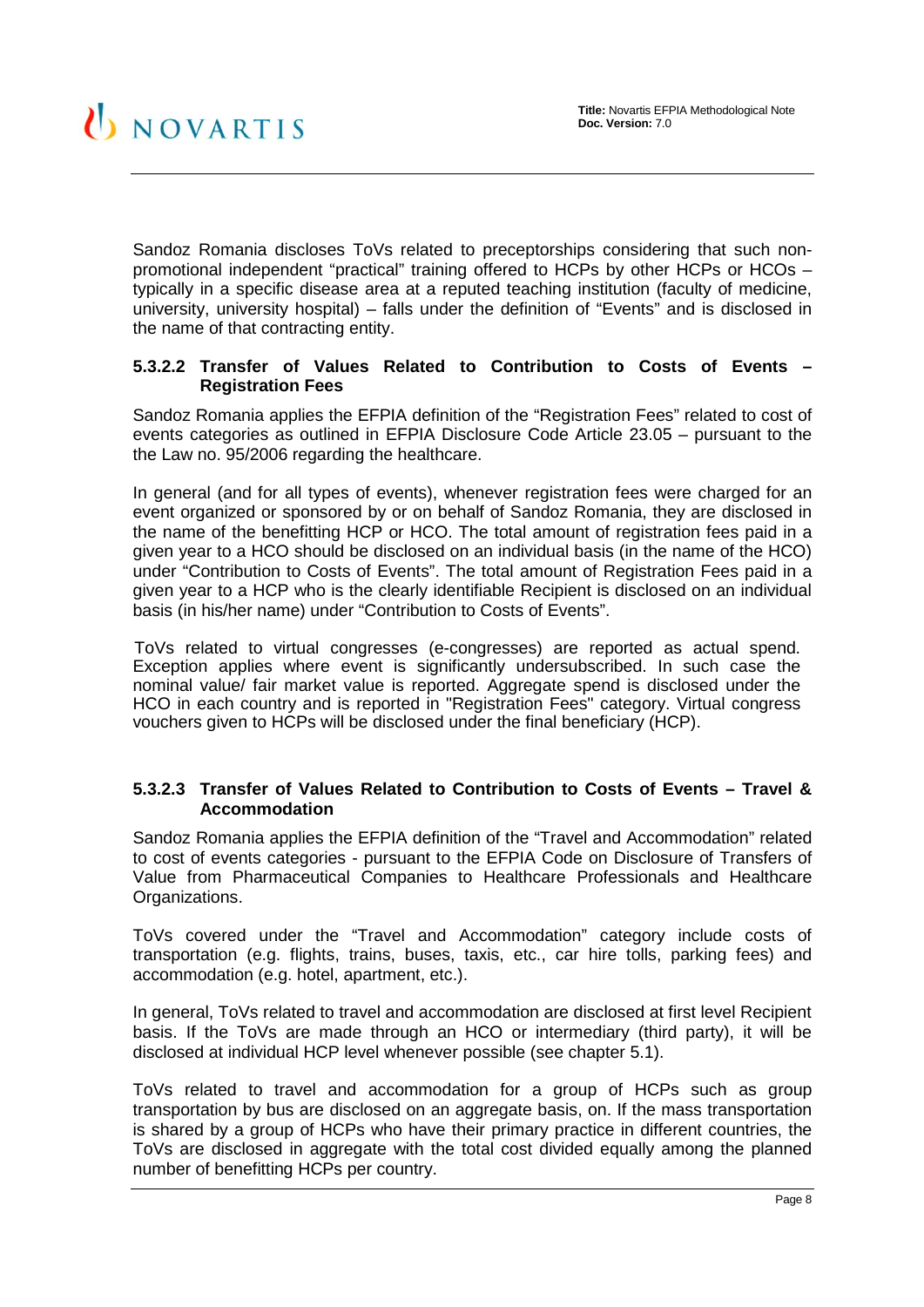Sandoz Romania discloses ToVs related to preceptorships considering that such nonpromotional independent "practical" training offered to HCPs by other HCPs or HCOs – typically in a specific disease area at a reputed teaching institution (faculty of medicine, university, university hospital) – falls under the definition of "Events" and is disclosed in the name of that contracting entity.

#### <span id="page-7-0"></span>**5.3.2.2 Transfer of Values Related to Contribution to Costs of Events – Registration Fees**

Sandoz Romania applies the EFPIA definition of the "Registration Fees" related to cost of events categories as outlined in EFPIA Disclosure Code Article 23.05 – pursuant to the the Law no. 95/2006 regarding the healthcare.

In general (and for all types of events), whenever registration fees were charged for an event organized or sponsored by or on behalf of Sandoz Romania, they are disclosed in the name of the benefitting HCP or HCO. The total amount of registration fees paid in a given year to a HCO should be disclosed on an individual basis (in the name of the HCO) under "Contribution to Costs of Events". The total amount of Registration Fees paid in a given year to a HCP who is the clearly identifiable Recipient is disclosed on an individual basis (in his/her name) under "Contribution to Costs of Events".

ToVs related to virtual congresses (e-congresses) are reported as actual spend. Exception applies where event is significantly undersubscribed. In such case the nominal value/ fair market value is reported. Aggregate spend is disclosed under the HCO in each country and is reported in "Registration Fees" category. Virtual congress vouchers given to HCPs will be disclosed under the final beneficiary (HCP).

#### <span id="page-7-1"></span>**5.3.2.3 Transfer of Values Related to Contribution to Costs of Events – Travel & Accommodation**

Sandoz Romania applies the EFPIA definition of the "Travel and Accommodation" related to cost of events categories - pursuant to the EFPIA Code on Disclosure of Transfers of Value from Pharmaceutical Companies to Healthcare Professionals and Healthcare Organizations.

ToVs covered under the "Travel and Accommodation" category include costs of transportation (e.g. flights, trains, buses, taxis, etc., car hire tolls, parking fees) and accommodation (e.g. hotel, apartment, etc.).

In general, ToVs related to travel and accommodation are disclosed at first level Recipient basis. If the ToVs are made through an HCO or intermediary (third party), it will be disclosed at individual HCP level whenever possible (see chapter [5.1\)](#page-4-1).

ToVs related to travel and accommodation for a group of HCPs such as group transportation by bus are disclosed on an aggregate basis, on. If the mass transportation is shared by a group of HCPs who have their primary practice in different countries, the ToVs are disclosed in aggregate with the total cost divided equally among the planned number of benefitting HCPs per country.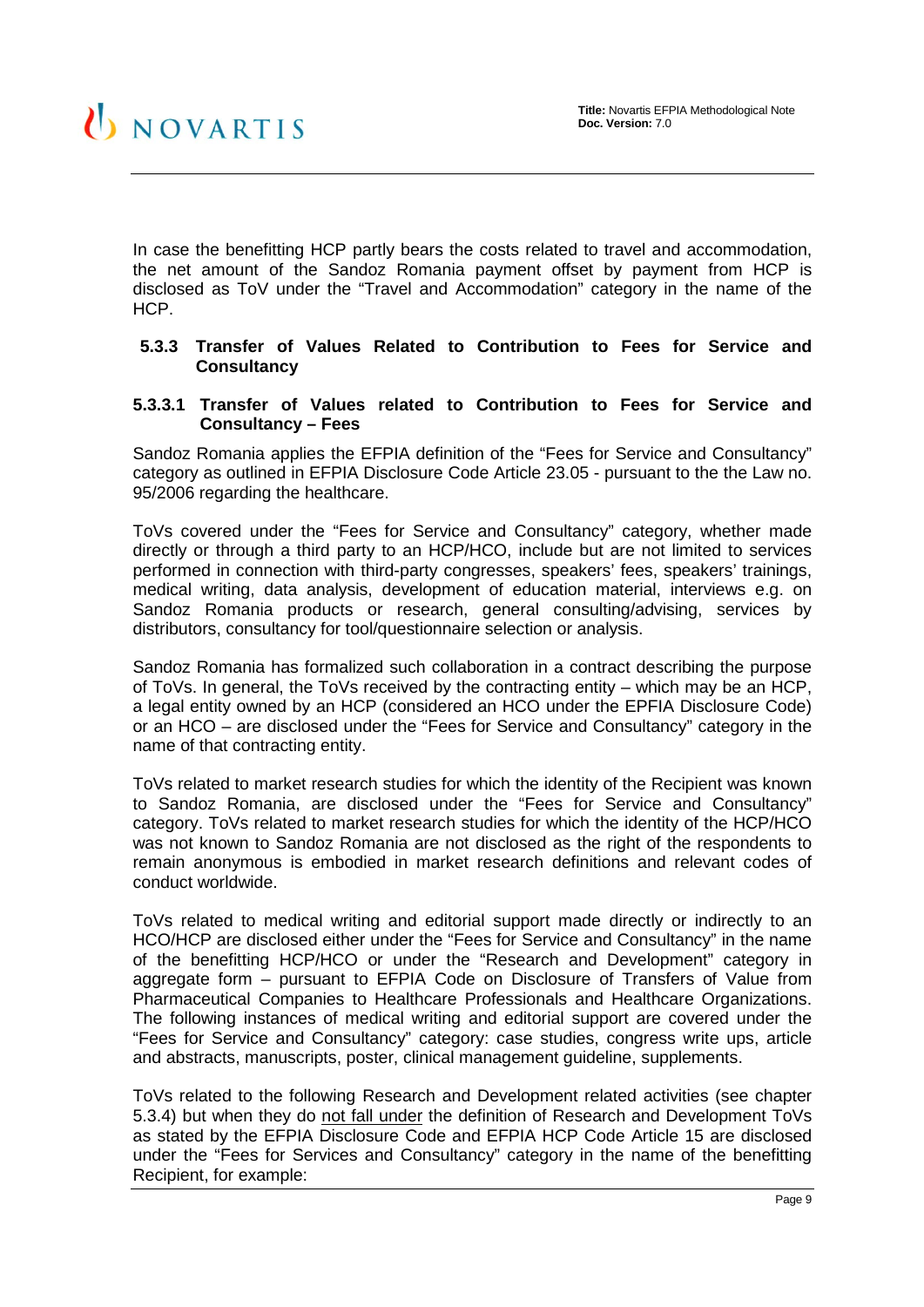In case the benefitting HCP partly bears the costs related to travel and accommodation, the net amount of the Sandoz Romania payment offset by payment from HCP is disclosed as ToV under the "Travel and Accommodation" category in the name of the HCP.

#### <span id="page-8-0"></span>**5.3.3 Transfer of Values Related to Contribution to Fees for Service and Consultancy**

#### <span id="page-8-1"></span>**5.3.3.1 Transfer of Values related to Contribution to Fees for Service and Consultancy – Fees**

Sandoz Romania applies the EFPIA definition of the "Fees for Service and Consultancy" category as outlined in EFPIA Disclosure Code Article 23.05 - pursuant to the the Law no. 95/2006 regarding the healthcare.

ToVs covered under the "Fees for Service and Consultancy" category, whether made directly or through a third party to an HCP/HCO, include but are not limited to services performed in connection with third-party congresses, speakers' fees, speakers' trainings, medical writing, data analysis, development of education material, interviews e.g. on Sandoz Romania products or research, general consulting/advising, services by distributors, consultancy for tool/questionnaire selection or analysis.

Sandoz Romania has formalized such collaboration in a contract describing the purpose of ToVs. In general, the ToVs received by the contracting entity – which may be an HCP, a legal entity owned by an HCP (considered an HCO under the EPFIA Disclosure Code) or an HCO – are disclosed under the "Fees for Service and Consultancy" category in the name of that contracting entity.

ToVs related to market research studies for which the identity of the Recipient was known to Sandoz Romania, are disclosed under the "Fees for Service and Consultancy" category. ToVs related to market research studies for which the identity of the HCP/HCO was not known to Sandoz Romania are not disclosed as the right of the respondents to remain anonymous is embodied in market research definitions and relevant codes of conduct worldwide.

ToVs related to medical writing and editorial support made directly or indirectly to an HCO/HCP are disclosed either under the "Fees for Service and Consultancy" in the name of the benefitting HCP/HCO or under the "Research and Development" category in aggregate form – pursuant to EFPIA Code on Disclosure of Transfers of Value from Pharmaceutical Companies to Healthcare Professionals and Healthcare Organizations. The following instances of medical writing and editorial support are covered under the "Fees for Service and Consultancy" category: case studies, congress write ups, article and abstracts, manuscripts, poster, clinical management guideline, supplements.

ToVs related to the following Research and Development related activities (see chapter [5.3.4\)](#page-9-1) but when they do not fall under the definition of Research and Development ToVs as stated by the EFPIA Disclosure Code and EFPIA HCP Code Article 15 are disclosed under the "Fees for Services and Consultancy" category in the name of the benefitting Recipient, for example: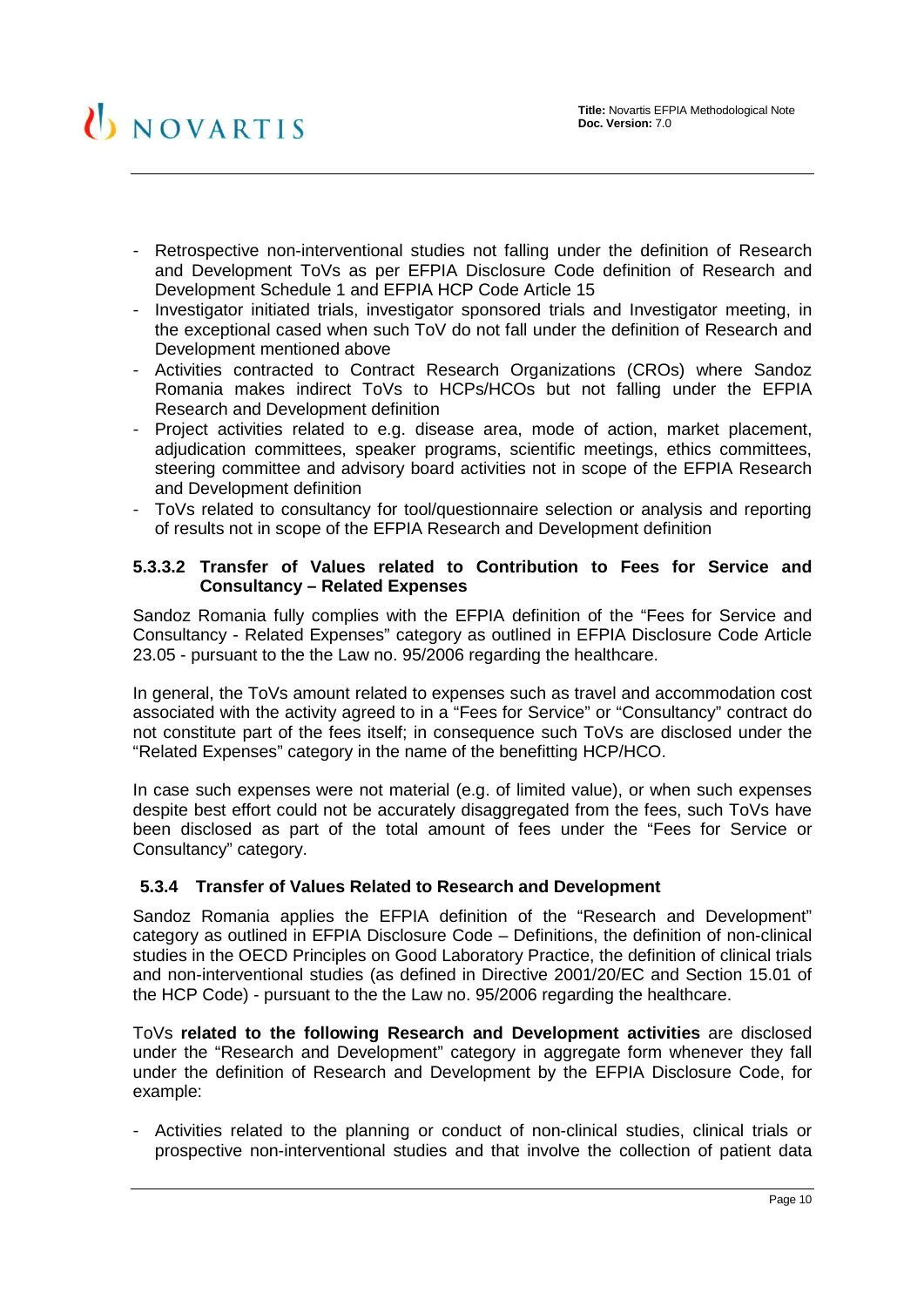- Retrospective non-interventional studies not falling under the definition of Research and Development ToVs as per EFPIA Disclosure Code definition of Research and Development Schedule 1 and EFPIA HCP Code Article 15
- Investigator initiated trials, investigator sponsored trials and Investigator meeting, in the exceptional cased when such ToV do not fall under the definition of Research and Development mentioned above
- Activities contracted to Contract Research Organizations (CROs) where Sandoz Romania makes indirect ToVs to HCPs/HCOs but not falling under the EFPIA Research and Development definition
- Project activities related to e.g. disease area, mode of action, market placement, adjudication committees, speaker programs, scientific meetings, ethics committees, steering committee and advisory board activities not in scope of the EFPIA Research and Development definition
- ToVs related to consultancy for tool/questionnaire selection or analysis and reporting of results not in scope of the EFPIA Research and Development definition

#### <span id="page-9-0"></span>**5.3.3.2 Transfer of Values related to Contribution to Fees for Service and Consultancy – Related Expenses**

Sandoz Romania fully complies with the EFPIA definition of the "Fees for Service and Consultancy - Related Expenses" category as outlined in EFPIA Disclosure Code Article 23.05 - pursuant to the the Law no. 95/2006 regarding the healthcare.

In general, the ToVs amount related to expenses such as travel and accommodation cost associated with the activity agreed to in a "Fees for Service" or "Consultancy" contract do not constitute part of the fees itself; in consequence such ToVs are disclosed under the "Related Expenses" category in the name of the benefitting HCP/HCO.

In case such expenses were not material (e.g. of limited value), or when such expenses despite best effort could not be accurately disaggregated from the fees, such ToVs have been disclosed as part of the total amount of fees under the "Fees for Service or Consultancy" category.

#### <span id="page-9-1"></span>**5.3.4 Transfer of Values Related to Research and Development**

Sandoz Romania applies the EFPIA definition of the "Research and Development" category as outlined in EFPIA Disclosure Code – Definitions, the definition of non-clinical studies in the OECD Principles on Good Laboratory Practice, the definition of clinical trials and non-interventional studies (as defined in Directive 2001/20/EC and Section 15.01 of the HCP Code) - pursuant to the the Law no. 95/2006 regarding the healthcare.

ToVs **related to the following Research and Development activities** are disclosed under the "Research and Development" category in aggregate form whenever they fall under the definition of Research and Development by the EFPIA Disclosure Code, for example:

- Activities related to the planning or conduct of non-clinical studies, clinical trials or prospective non-interventional studies and that involve the collection of patient data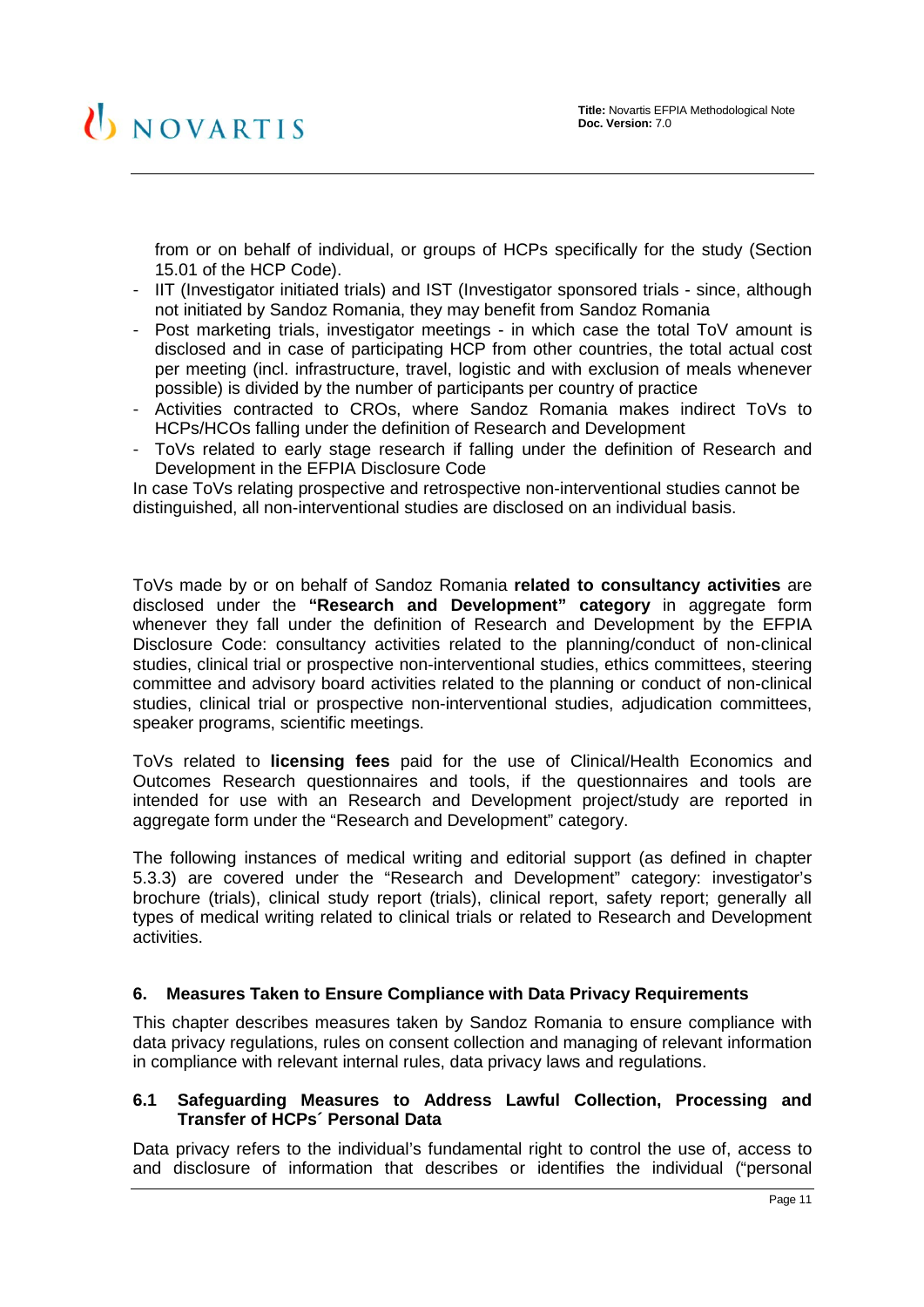from or on behalf of individual, or groups of HCPs specifically for the study (Section 15.01 of the HCP Code).

- IIT (Investigator initiated trials) and IST (Investigator sponsored trials since, although not initiated by Sandoz Romania, they may benefit from Sandoz Romania
- Post marketing trials, investigator meetings in which case the total ToV amount is disclosed and in case of participating HCP from other countries, the total actual cost per meeting (incl. infrastructure, travel, logistic and with exclusion of meals whenever possible) is divided by the number of participants per country of practice
- Activities contracted to CROs, where Sandoz Romania makes indirect ToVs to HCPs/HCOs falling under the definition of Research and Development
- ToVs related to early stage research if falling under the definition of Research and Development in the EFPIA Disclosure Code

In case ToVs relating prospective and retrospective non-interventional studies cannot be distinguished, all non-interventional studies are disclosed on an individual basis.

ToVs made by or on behalf of Sandoz Romania **related to consultancy activities** are disclosed under the **"Research and Development" category** in aggregate form whenever they fall under the definition of Research and Development by the EFPIA Disclosure Code: consultancy activities related to the planning/conduct of non-clinical studies, clinical trial or prospective non-interventional studies, ethics committees, steering committee and advisory board activities related to the planning or conduct of non-clinical studies, clinical trial or prospective non-interventional studies, adjudication committees, speaker programs, scientific meetings.

ToVs related to **licensing fees** paid for the use of Clinical/Health Economics and Outcomes Research questionnaires and tools, if the questionnaires and tools are intended for use with an Research and Development project/study are reported in aggregate form under the "Research and Development" category.

The following instances of medical writing and editorial support (as defined in chapter [5.3.3\)](#page-8-0) are covered under the "Research and Development" category: investigator's brochure (trials), clinical study report (trials), clinical report, safety report; generally all types of medical writing related to clinical trials or related to Research and Development activities.

#### <span id="page-10-0"></span>**6. Measures Taken to Ensure Compliance with Data Privacy Requirements**

This chapter describes measures taken by Sandoz Romania to ensure compliance with data privacy regulations, rules on consent collection and managing of relevant information in compliance with relevant internal rules, data privacy laws and regulations.

#### <span id="page-10-1"></span>**6.1 Safeguarding Measures to Address Lawful Collection, Processing and Transfer of HCPs´ Personal Data**

Data privacy refers to the individual's fundamental right to control the use of, access to and disclosure of information that describes or identifies the individual ("personal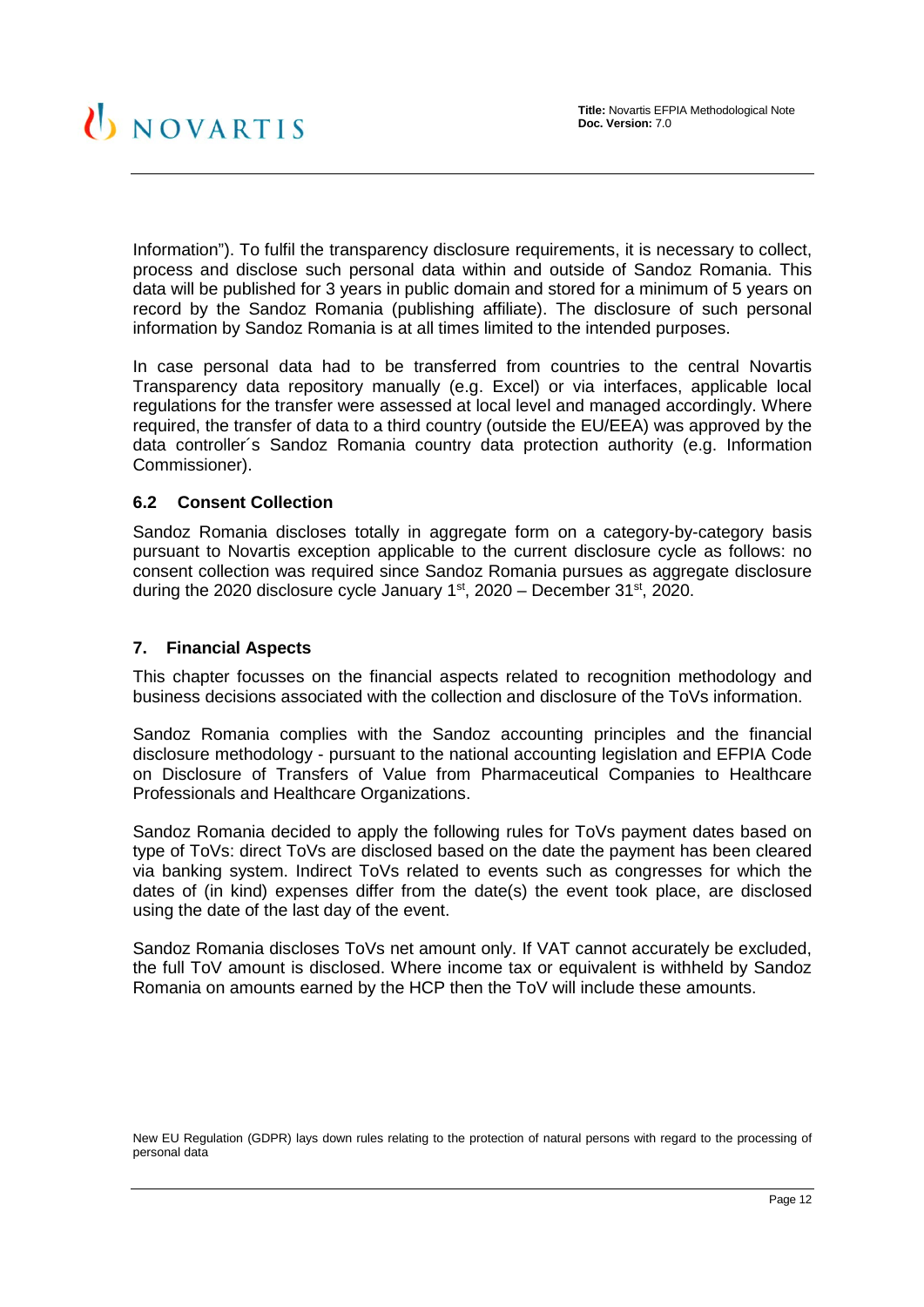Information"). To fulfil the transparency disclosure requirements, it is necessary to collect, process and disclose such personal data within and outside of Sandoz Romania. This data will be published for 3 years in public domain and stored for a minimum of 5 years on record by the Sandoz Romania (publishing affiliate). The disclosure of such personal information by Sandoz Romania is at all times limited to the intended purposes.

In case personal data had to be transferred from countries to the central Novartis Transparency data repository manually (e.g. Excel) or via interfaces, applicable local regulations for the transfer were assessed at local level and managed accordingly. Where required, the transfer of data to a third country (outside the EU/EEA) was approved by the data controller´s Sandoz Romania country data protection authority (e.g. Information Commissioner).

#### <span id="page-11-0"></span>**6.2 Consent Collection**

Sandoz Romania discloses totally in aggregate form on a category-by-category basis pursuant to Novartis exception applicable to the current disclosure cycle as follows: no consent collection was required since Sandoz Romania pursues as aggregate disclosure during the 2020 disclosure cycle January  $1<sup>st</sup>$ , 2020 – December 31 $<sup>st</sup>$ , 2020.</sup>

#### <span id="page-11-1"></span>**7. Financial Aspects**

This chapter focusses on the financial aspects related to recognition methodology and business decisions associated with the collection and disclosure of the ToVs information.

Sandoz Romania complies with the Sandoz accounting principles and the financial disclosure methodology - pursuant to the national accounting legislation and EFPIA Code on Disclosure of Transfers of Value from Pharmaceutical Companies to Healthcare Professionals and Healthcare Organizations.

Sandoz Romania decided to apply the following rules for ToVs payment dates based on type of ToVs: direct ToVs are disclosed based on the date the payment has been cleared via banking system. Indirect ToVs related to events such as congresses for which the dates of (in kind) expenses differ from the date(s) the event took place, are disclosed using the date of the last day of the event.

Sandoz Romania discloses ToVs net amount only. If VAT cannot accurately be excluded, the full ToV amount is disclosed. Where income tax or equivalent is withheld by Sandoz Romania on amounts earned by the HCP then the ToV will include these amounts.

New EU Regulation (GDPR) lays down rules relating to the protection of natural persons with regard to the processing of personal data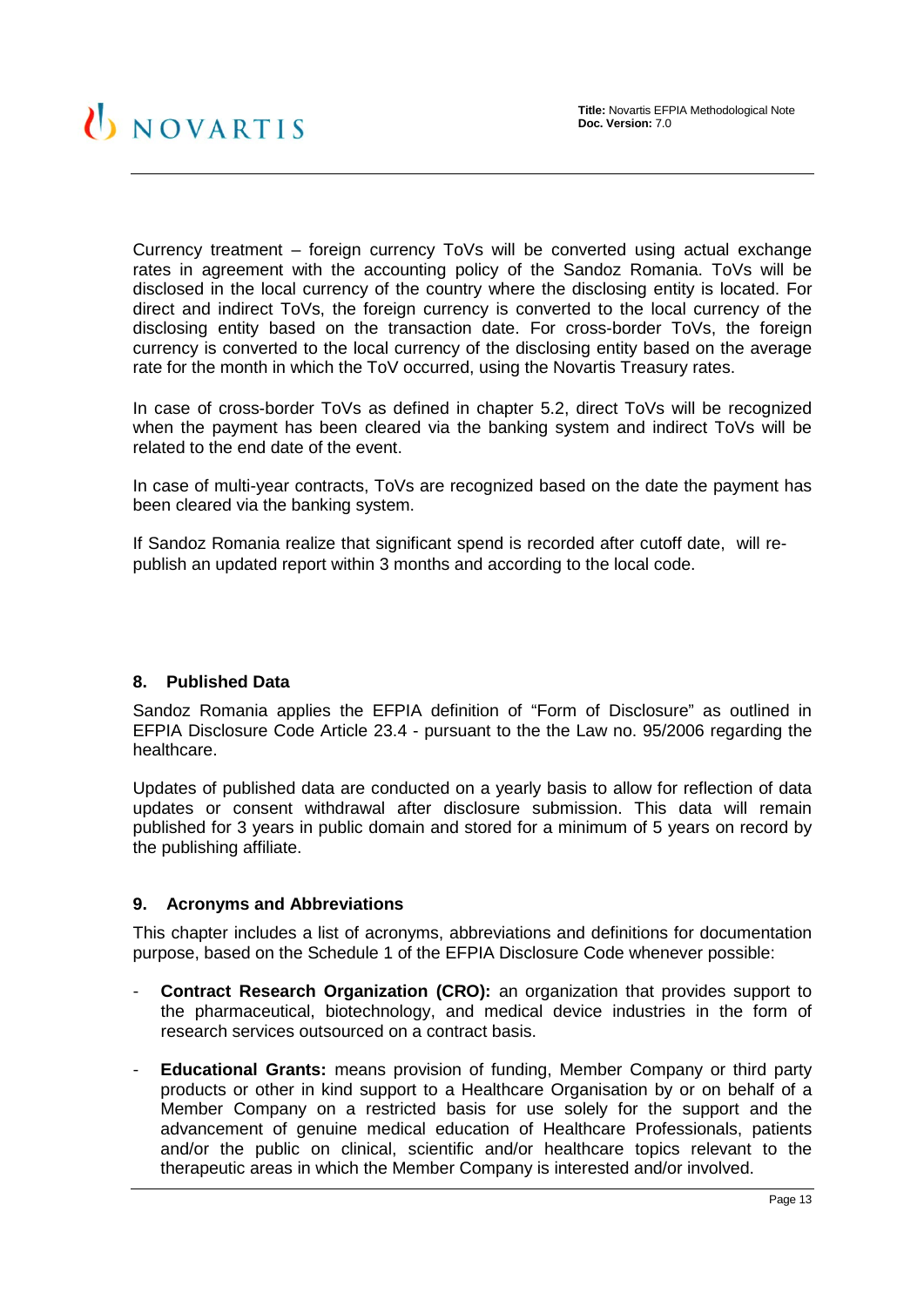Currency treatment – foreign currency ToVs will be converted using actual exchange rates in agreement with the accounting policy of the Sandoz Romania. ToVs will be disclosed in the local currency of the country where the disclosing entity is located. For direct and indirect ToVs, the foreign currency is converted to the local currency of the disclosing entity based on the transaction date. For cross-border ToVs, the foreign currency is converted to the local currency of the disclosing entity based on the average rate for the month in which the ToV occurred, using the Novartis Treasury rates.

In case of cross-border ToVs as defined in chapter 5.2, direct ToVs will be recognized when the payment has been cleared via the banking system and indirect ToVs will be related to the end date of the event.

In case of multi-year contracts, ToVs are recognized based on the date the payment has been cleared via the banking system.

If Sandoz Romania realize that significant spend is recorded after cutoff date, will republish an updated report within 3 months and according to the local code.

#### <span id="page-12-0"></span>**8. Published Data**

Sandoz Romania applies the EFPIA definition of "Form of Disclosure" as outlined in EFPIA Disclosure Code Article 23.4 - pursuant to the the Law no. 95/2006 regarding the healthcare.

Updates of published data are conducted on a yearly basis to allow for reflection of data updates or consent withdrawal after disclosure submission. This data will remain published for 3 years in public domain and stored for a minimum of 5 years on record by the publishing affiliate.

#### <span id="page-12-1"></span>**9. Acronyms and Abbreviations**

This chapter includes a list of acronyms, abbreviations and definitions for documentation purpose, based on the Schedule 1 of the EFPIA Disclosure Code whenever possible:

- **Contract Research Organization (CRO):** an organization that provides support to the pharmaceutical, biotechnology, and medical device industries in the form of research services outsourced on a contract basis.
- **Educational Grants:** means provision of funding, Member Company or third party products or other in kind support to a Healthcare Organisation by or on behalf of a Member Company on a restricted basis for use solely for the support and the advancement of genuine medical education of Healthcare Professionals, patients and/or the public on clinical, scientific and/or healthcare topics relevant to the therapeutic areas in which the Member Company is interested and/or involved.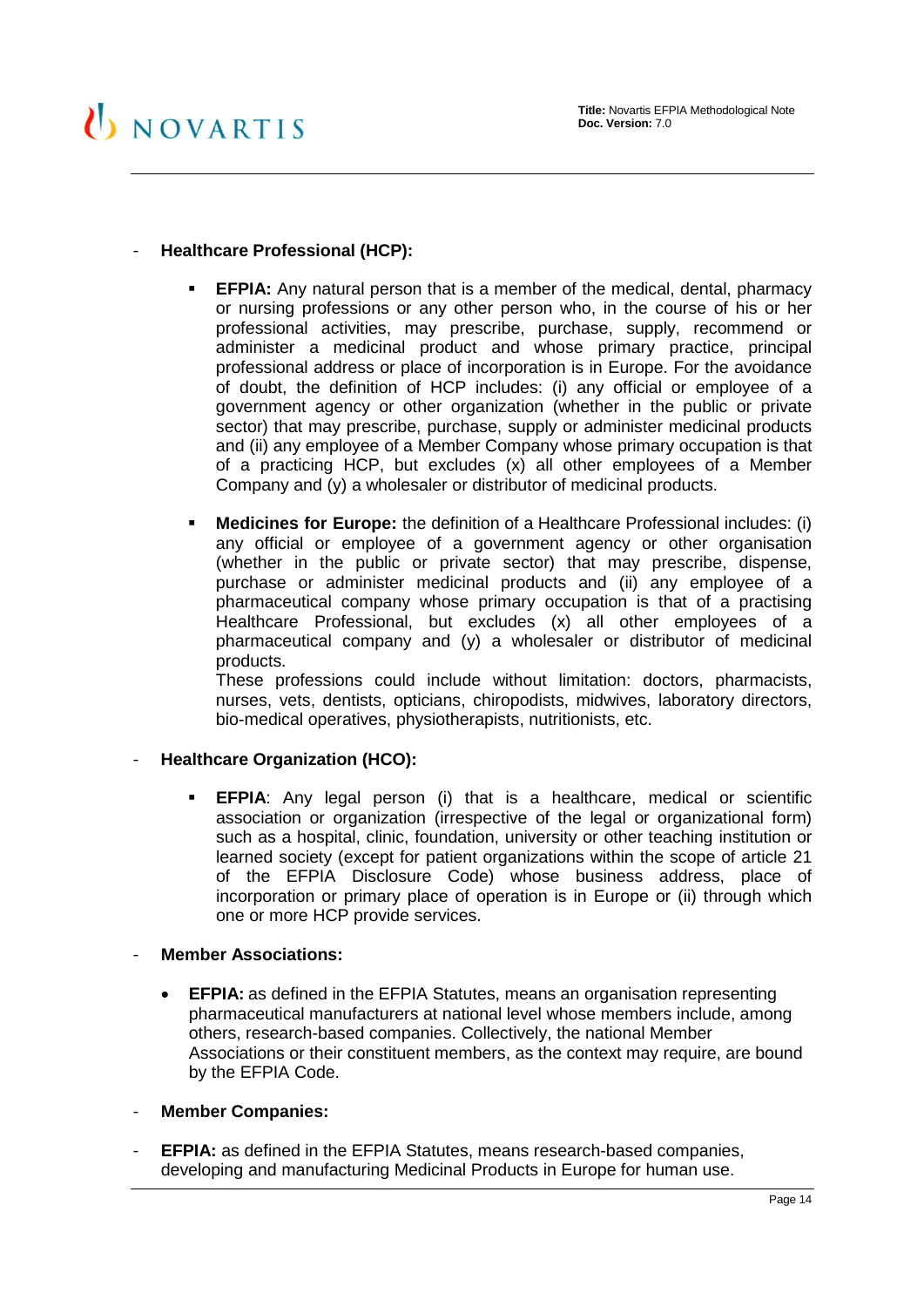#### - **Healthcare Professional (HCP):**

- **EFPIA:** Any natural person that is a member of the medical, dental, pharmacy or nursing professions or any other person who, in the course of his or her professional activities, may prescribe, purchase, supply, recommend or administer a medicinal product and whose primary practice, principal professional address or place of incorporation is in Europe. For the avoidance of doubt, the definition of HCP includes: (i) any official or employee of a government agency or other organization (whether in the public or private sector) that may prescribe, purchase, supply or administer medicinal products and (ii) any employee of a Member Company whose primary occupation is that of a practicing HCP, but excludes (x) all other employees of a Member Company and (y) a wholesaler or distributor of medicinal products.
- **Medicines for Europe:** the definition of a Healthcare Professional includes: (i) any official or employee of a government agency or other organisation (whether in the public or private sector) that may prescribe, dispense, purchase or administer medicinal products and (ii) any employee of a pharmaceutical company whose primary occupation is that of a practising Healthcare Professional, but excludes (x) all other employees of a pharmaceutical company and (y) a wholesaler or distributor of medicinal products.

These professions could include without limitation: doctors, pharmacists, nurses, vets, dentists, opticians, chiropodists, midwives, laboratory directors, bio-medical operatives, physiotherapists, nutritionists, etc.

#### - **Healthcare Organization (HCO):**

 **EFPIA**: Any legal person (i) that is a healthcare, medical or scientific association or organization (irrespective of the legal or organizational form) such as a hospital, clinic, foundation, university or other teaching institution or learned society (except for patient organizations within the scope of article 21 of the EFPIA Disclosure Code) whose business address, place of incorporation or primary place of operation is in Europe or (ii) through which one or more HCP provide services.

#### - **Member Associations:**

- **EFPIA:** as defined in the EFPIA Statutes, means an organisation representing pharmaceutical manufacturers at national level whose members include, among others, research-based companies. Collectively, the national Member Associations or their constituent members, as the context may require, are bound by the EFPIA Code.
- **Member Companies:**
- **EFPIA:** as defined in the EFPIA Statutes, means research-based companies, developing and manufacturing Medicinal Products in Europe for human use.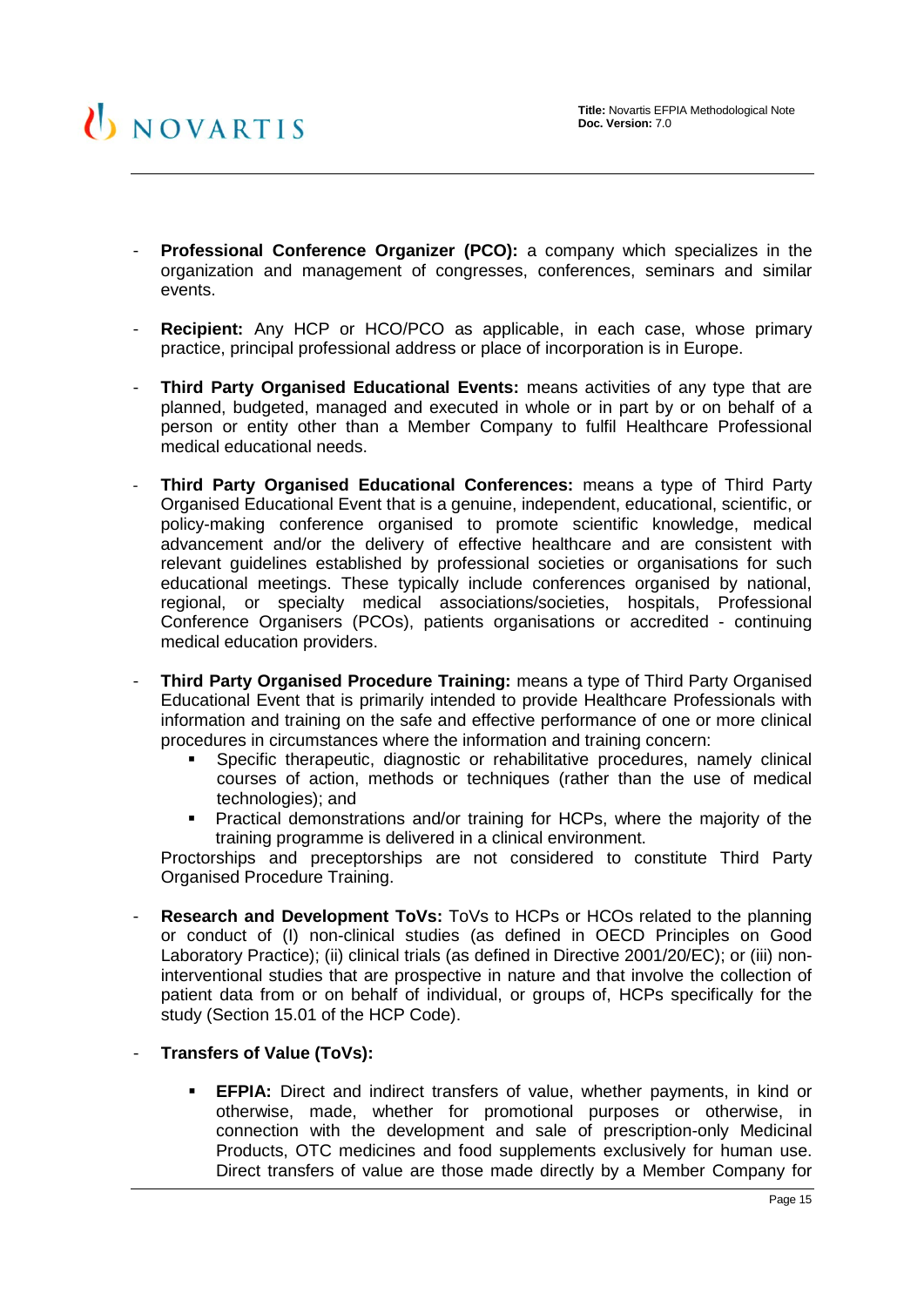- **Professional Conference Organizer (PCO):** a company which specializes in the organization and management of congresses, conferences, seminars and similar events.
- **Recipient:** Any HCP or HCO/PCO as applicable, in each case, whose primary practice, principal professional address or place of incorporation is in Europe.
- **Third Party Organised Educational Events:** means activities of any type that are planned, budgeted, managed and executed in whole or in part by or on behalf of a person or entity other than a Member Company to fulfil Healthcare Professional medical educational needs.
- **Third Party Organised Educational Conferences:** means a type of Third Party Organised Educational Event that is a genuine, independent, educational, scientific, or policy-making conference organised to promote scientific knowledge, medical advancement and/or the delivery of effective healthcare and are consistent with relevant guidelines established by professional societies or organisations for such educational meetings. These typically include conferences organised by national, regional, or specialty medical associations/societies, hospitals, Professional Conference Organisers (PCOs), patients organisations or accredited - continuing medical education providers.
- **Third Party Organised Procedure Training:** means a type of Third Party Organised Educational Event that is primarily intended to provide Healthcare Professionals with information and training on the safe and effective performance of one or more clinical procedures in circumstances where the information and training concern:
	- Specific therapeutic, diagnostic or rehabilitative procedures, namely clinical courses of action, methods or techniques (rather than the use of medical technologies); and
	- **Practical demonstrations and/or training for HCPs, where the majority of the** training programme is delivered in a clinical environment.

Proctorships and preceptorships are not considered to constitute Third Party Organised Procedure Training.

- **Research and Development ToVs:** ToVs to HCPs or HCOs related to the planning or conduct of (I) non-clinical studies (as defined in OECD Principles on Good Laboratory Practice); (ii) clinical trials (as defined in Directive 2001/20/EC); or (iii) noninterventional studies that are prospective in nature and that involve the collection of patient data from or on behalf of individual, or groups of, HCPs specifically for the study (Section 15.01 of the HCP Code).
- **Transfers of Value (ToVs):**
	- **EFPIA:** Direct and indirect transfers of value, whether payments, in kind or otherwise, made, whether for promotional purposes or otherwise, in connection with the development and sale of prescription-only Medicinal Products, OTC medicines and food supplements exclusively for human use. Direct transfers of value are those made directly by a Member Company for